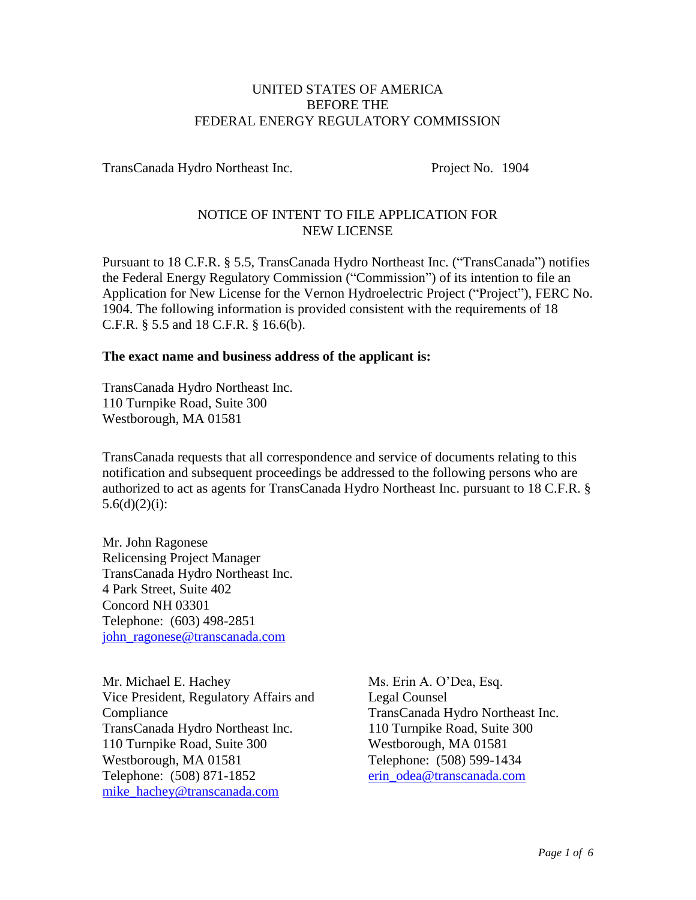#### UNITED STATES OF AMERICA BEFORE THE FEDERAL ENERGY REGULATORY COMMISSION

TransCanada Hydro Northeast Inc. Project No. 1904

# NOTICE OF INTENT TO FILE APPLICATION FOR NEW LICENSE

Pursuant to 18 C.F.R. § 5.5, TransCanada Hydro Northeast Inc. ("TransCanada") notifies the Federal Energy Regulatory Commission ("Commission") of its intention to file an Application for New License for the Vernon Hydroelectric Project ("Project"), FERC No. 1904. The following information is provided consistent with the requirements of 18 C.F.R. § 5.5 and 18 C.F.R. § 16.6(b).

## **The exact name and business address of the applicant is:**

TransCanada Hydro Northeast Inc. 110 Turnpike Road, Suite 300 Westborough, MA 01581

TransCanada requests that all correspondence and service of documents relating to this notification and subsequent proceedings be addressed to the following persons who are authorized to act as agents for TransCanada Hydro Northeast Inc. pursuant to 18 C.F.R. §  $5.6(d)(2)(i)$ :

Mr. John Ragonese Relicensing Project Manager TransCanada Hydro Northeast Inc. 4 Park Street, Suite 402 Concord NH 03301 Telephone: (603) 498-2851 [john\\_ragonese@transcanada.com](mailto:john_ragonese@transcanada.com)

Mr. Michael E. Hachey Vice President, Regulatory Affairs and Compliance TransCanada Hydro Northeast Inc. 110 Turnpike Road, Suite 300 Westborough, MA 01581 Telephone: (508) 871-1852 [mike\\_hachey@transcanada.com](mailto:mike_hachey@transcanada.com)

Ms. Erin A. O'Dea, Esq. Legal Counsel TransCanada Hydro Northeast Inc. 110 Turnpike Road, Suite 300 Westborough, MA 01581 Telephone: (508) 599-1434 [erin\\_odea@transcanada.com](mailto:erin_odea@transcanada.com)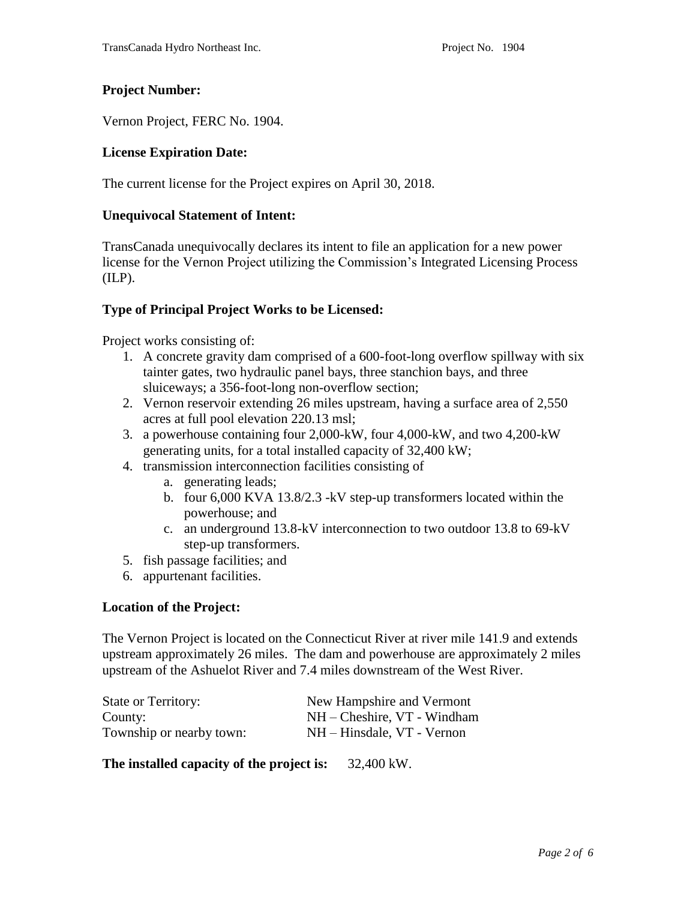# **Project Number:**

Vernon Project, FERC No. 1904.

## **License Expiration Date:**

The current license for the Project expires on April 30, 2018.

#### **Unequivocal Statement of Intent:**

TransCanada unequivocally declares its intent to file an application for a new power license for the Vernon Project utilizing the Commission's Integrated Licensing Process (ILP).

## **Type of Principal Project Works to be Licensed:**

Project works consisting of:

- 1. A concrete gravity dam comprised of a 600-foot-long overflow spillway with six tainter gates, two hydraulic panel bays, three stanchion bays, and three sluiceways; a 356-foot-long non-overflow section;
- 2. Vernon reservoir extending 26 miles upstream, having a surface area of 2,550 acres at full pool elevation 220.13 msl;
- 3. a powerhouse containing four 2,000-kW, four 4,000-kW, and two 4,200-kW generating units, for a total installed capacity of 32,400 kW;
- 4. transmission interconnection facilities consisting of
	- a. generating leads;
	- b. four 6,000 KVA 13.8/2.3 -kV step-up transformers located within the powerhouse; and
	- c. an underground 13.8-kV interconnection to two outdoor 13.8 to 69-kV step-up transformers.
- 5. fish passage facilities; and
- 6. appurtenant facilities.

#### **Location of the Project:**

The Vernon Project is located on the Connecticut River at river mile 141.9 and extends upstream approximately 26 miles. The dam and powerhouse are approximately 2 miles upstream of the Ashuelot River and 7.4 miles downstream of the West River.

| <b>State or Territory:</b> | New Hampshire and Vermont   |
|----------------------------|-----------------------------|
| County:                    | NH – Cheshire, VT - Windham |
| Township or nearby town:   | NH – Hinsdale, VT - Vernon  |

**The installed capacity of the project is:** 32,400 kW.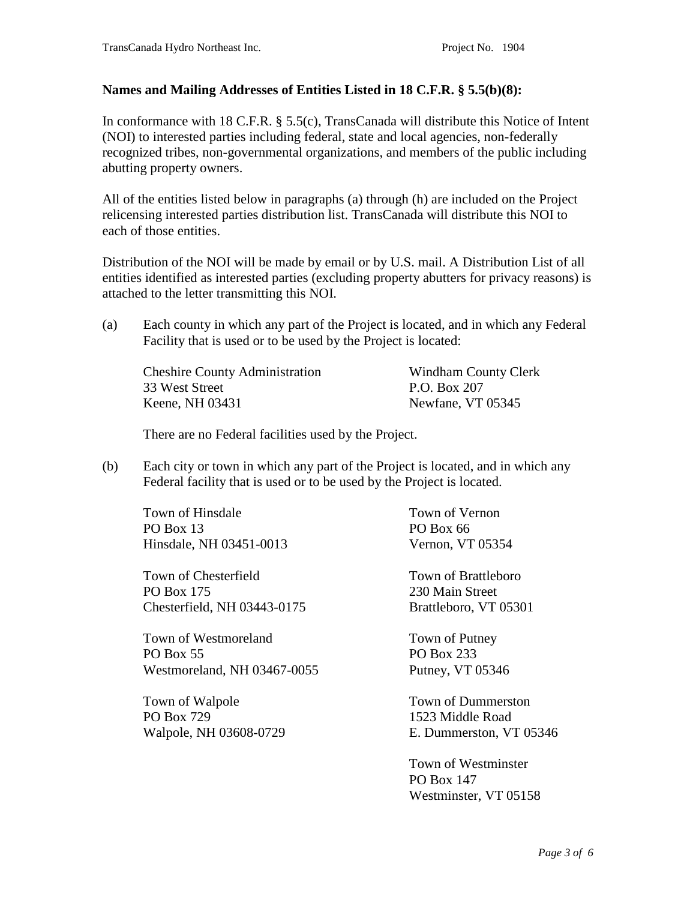## **Names and Mailing Addresses of Entities Listed in 18 C.F.R. § 5.5(b)(8):**

In conformance with 18 C.F.R. § 5.5(c), TransCanada will distribute this Notice of Intent (NOI) to interested parties including federal, state and local agencies, non-federally recognized tribes, non-governmental organizations, and members of the public including abutting property owners.

All of the entities listed below in paragraphs (a) through (h) are included on the Project relicensing interested parties distribution list. TransCanada will distribute this NOI to each of those entities.

Distribution of the NOI will be made by email or by U.S. mail. A Distribution List of all entities identified as interested parties (excluding property abutters for privacy reasons) is attached to the letter transmitting this NOI.

(a) Each county in which any part of the Project is located, and in which any Federal Facility that is used or to be used by the Project is located:

Cheshire County Administration 33 West Street Keene, NH 03431

Windham County Clerk P.O. Box 207 Newfane, VT 05345

There are no Federal facilities used by the Project.

(b) Each city or town in which any part of the Project is located, and in which any Federal facility that is used or to be used by the Project is located.

Town of Hinsdale PO Box 13 Hinsdale, NH 03451-0013

Town of Chesterfield PO Box 175 Chesterfield, NH 03443-0175

Town of Westmoreland PO Box 55 Westmoreland, NH 03467-0055

Town of Walpole PO Box 729 Walpole, NH 03608-0729 Town of Vernon PO Box 66 Vernon, VT 05354

Town of Brattleboro 230 Main Street Brattleboro, VT 05301

Town of Putney PO Box 233 Putney, VT 05346

Town of Dummerston 1523 Middle Road E. Dummerston, VT 05346

Town of Westminster PO Box 147 Westminster, VT 05158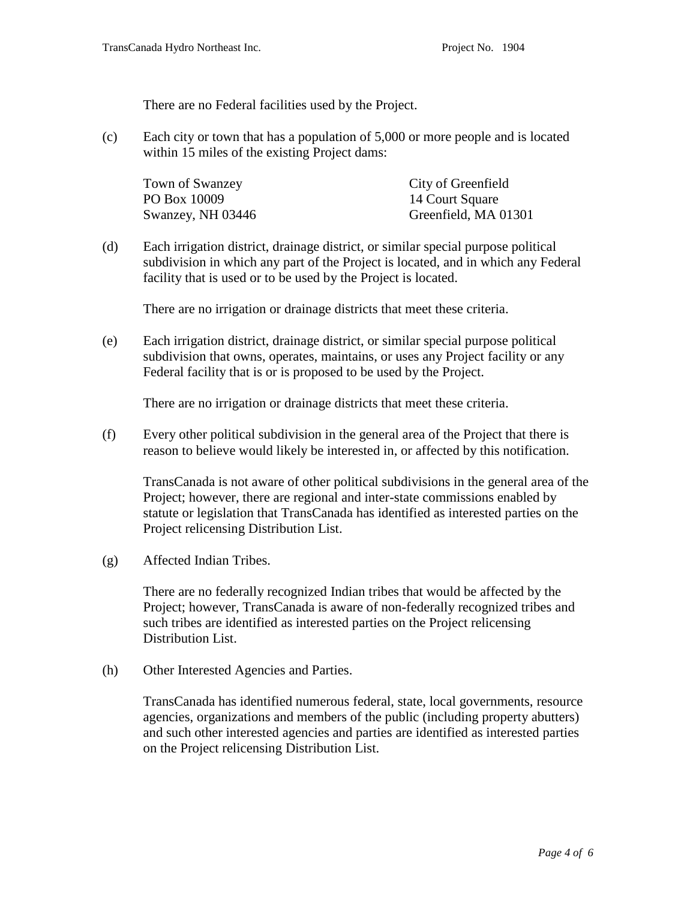There are no Federal facilities used by the Project.

(c) Each city or town that has a population of 5,000 or more people and is located within 15 miles of the existing Project dams:

| Town of Swanzey   | City of Greenfield   |
|-------------------|----------------------|
| PO Box 10009      | 14 Court Square      |
| Swanzey, NH 03446 | Greenfield, MA 01301 |

(d) Each irrigation district, drainage district, or similar special purpose political subdivision in which any part of the Project is located, and in which any Federal facility that is used or to be used by the Project is located.

There are no irrigation or drainage districts that meet these criteria.

(e) Each irrigation district, drainage district, or similar special purpose political subdivision that owns, operates, maintains, or uses any Project facility or any Federal facility that is or is proposed to be used by the Project.

There are no irrigation or drainage districts that meet these criteria.

(f) Every other political subdivision in the general area of the Project that there is reason to believe would likely be interested in, or affected by this notification.

TransCanada is not aware of other political subdivisions in the general area of the Project; however, there are regional and inter-state commissions enabled by statute or legislation that TransCanada has identified as interested parties on the Project relicensing Distribution List.

(g) Affected Indian Tribes.

There are no federally recognized Indian tribes that would be affected by the Project; however, TransCanada is aware of non-federally recognized tribes and such tribes are identified as interested parties on the Project relicensing Distribution List.

(h) Other Interested Agencies and Parties.

TransCanada has identified numerous federal, state, local governments, resource agencies, organizations and members of the public (including property abutters) and such other interested agencies and parties are identified as interested parties on the Project relicensing Distribution List.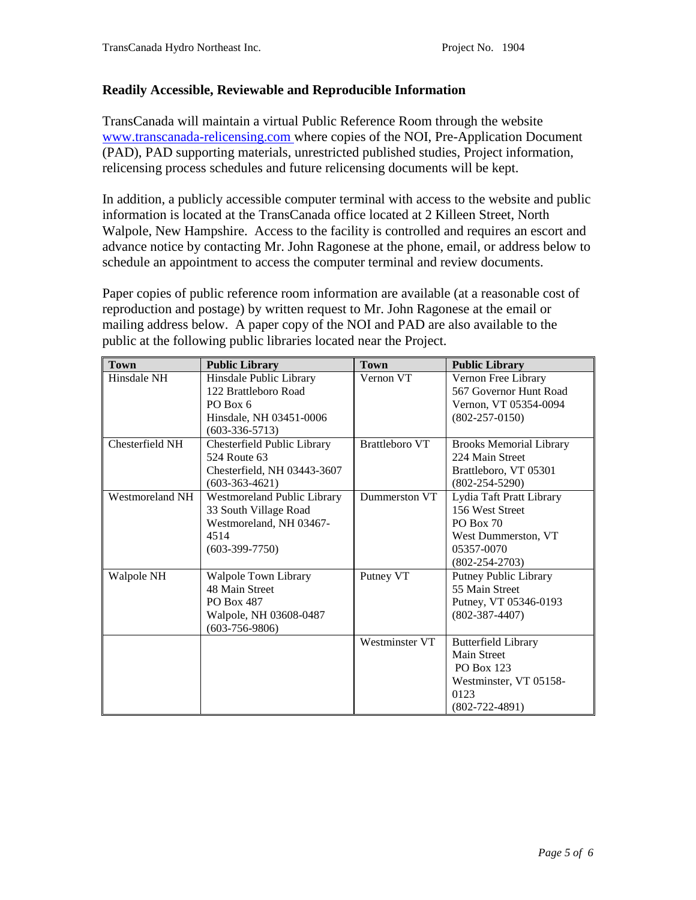## **Readily Accessible, Reviewable and Reproducible Information**

TransCanada will maintain a virtual Public Reference Room through the website [www.transcanada-relicensing.com](http://www.transcanada-relicensing.com/) where copies of the NOI, Pre-Application Document (PAD), PAD supporting materials, unrestricted published studies, Project information, relicensing process schedules and future relicensing documents will be kept.

In addition, a publicly accessible computer terminal with access to the website and public information is located at the TransCanada office located at 2 Killeen Street, North Walpole, New Hampshire. Access to the facility is controlled and requires an escort and advance notice by contacting Mr. John Ragonese at the phone, email, or address below to schedule an appointment to access the computer terminal and review documents.

Paper copies of public reference room information are available (at a reasonable cost of reproduction and postage) by written request to Mr. John Ragonese at the email or mailing address below. A paper copy of the NOI and PAD are also available to the public at the following public libraries located near the Project.

| <b>Town</b>     | <b>Public Library</b>              | <b>Town</b>           | <b>Public Library</b>          |
|-----------------|------------------------------------|-----------------------|--------------------------------|
| Hinsdale NH     | Hinsdale Public Library            | Vernon VT             | Vernon Free Library            |
|                 | 122 Brattleboro Road               |                       | 567 Governor Hunt Road         |
|                 | PO Box 6                           |                       | Vernon, VT 05354-0094          |
|                 | Hinsdale, NH 03451-0006            |                       | $(802 - 257 - 0150)$           |
|                 | $(603-336-5713)$                   |                       |                                |
| Chesterfield NH | Chesterfield Public Library        | <b>Brattleboro VT</b> | <b>Brooks Memorial Library</b> |
|                 | 524 Route 63                       |                       | 224 Main Street                |
|                 | Chesterfield, NH 03443-3607        |                       | Brattleboro, VT 05301          |
|                 | $(603-363-4621)$                   |                       | $(802 - 254 - 5290)$           |
| Westmoreland NH | <b>Westmoreland Public Library</b> | Dummerston VT         | Lydia Taft Pratt Library       |
|                 | 33 South Village Road              |                       | 156 West Street                |
|                 | Westmoreland, NH 03467-            |                       | PO Box 70                      |
|                 | 4514                               |                       | West Dummerston, VT            |
|                 | $(603-399-7750)$                   |                       | 05357-0070                     |
|                 |                                    |                       | $(802 - 254 - 2703)$           |
| Walpole NH      | Walpole Town Library               | Putney VT             | Putney Public Library          |
|                 | 48 Main Street                     |                       | 55 Main Street                 |
|                 | <b>PO Box 487</b>                  |                       | Putney, VT 05346-0193          |
|                 | Walpole, NH 03608-0487             |                       | $(802 - 387 - 4407)$           |
|                 | $(603-756-9806)$                   |                       |                                |
|                 |                                    | Westminster VT        | <b>Butterfield Library</b>     |
|                 |                                    |                       | <b>Main Street</b>             |
|                 |                                    |                       | <b>PO Box 123</b>              |
|                 |                                    |                       | Westminster, VT 05158-         |
|                 |                                    |                       | 0123                           |
|                 |                                    |                       | $(802 - 722 - 4891)$           |